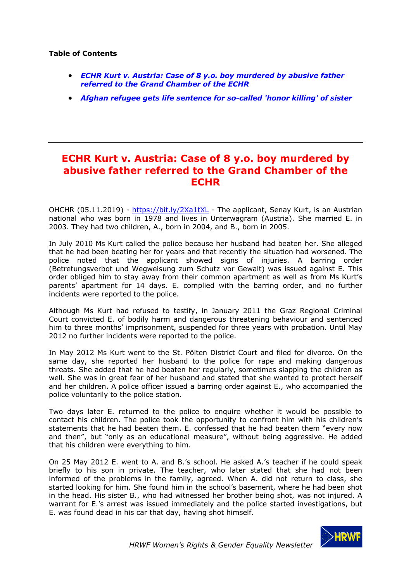## **Table of Contents**

- *ECHR Kurt v. Austria: Case of 8 y.o. boy murdered by abusive father referred to the Grand Chamber of the ECHR*
- *Afghan refugee gets life sentence for so-called 'honor killing' of sister*

## **ECHR Kurt v. Austria: Case of 8 y.o. boy murdered by abusive father referred to the Grand Chamber of the ECHR**

OHCHR (05.11.2019) - https://bit.ly/2Xa1tXL - The applicant, Senay Kurt, is an Austrian national who was born in 1978 and lives in Unterwagram (Austria). She married E. in 2003. They had two children, A., born in 2004, and B., born in 2005.

In July 2010 Ms Kurt called the police because her husband had beaten her. She alleged that he had been beating her for years and that recently the situation had worsened. The police noted that the applicant showed signs of injuries. A barring order (Betretungsverbot und Wegweisung zum Schutz vor Gewalt) was issued against E. This order obliged him to stay away from their common apartment as well as from Ms Kurt's parents' apartment for 14 days. E. complied with the barring order, and no further incidents were reported to the police.

Although Ms Kurt had refused to testify, in January 2011 the Graz Regional Criminal Court convicted E. of bodily harm and dangerous threatening behaviour and sentenced him to three months' imprisonment, suspended for three years with probation. Until May 2012 no further incidents were reported to the police.

In May 2012 Ms Kurt went to the St. Pölten District Court and filed for divorce. On the same day, she reported her husband to the police for rape and making dangerous threats. She added that he had beaten her regularly, sometimes slapping the children as well. She was in great fear of her husband and stated that she wanted to protect herself and her children. A police officer issued a barring order against E., who accompanied the police voluntarily to the police station.

Two days later E. returned to the police to enquire whether it would be possible to contact his children. The police took the opportunity to confront him with his children's statements that he had beaten them. E. confessed that he had beaten them "every now and then", but "only as an educational measure", without being aggressive. He added that his children were everything to him.

On 25 May 2012 E. went to A. and B.'s school. He asked A.'s teacher if he could speak briefly to his son in private. The teacher, who later stated that she had not been informed of the problems in the family, agreed. When A. did not return to class, she started looking for him. She found him in the school's basement, where he had been shot in the head. His sister B., who had witnessed her brother being shot, was not injured. A warrant for E.'s arrest was issued immediately and the police started investigations, but E. was found dead in his car that day, having shot himself.

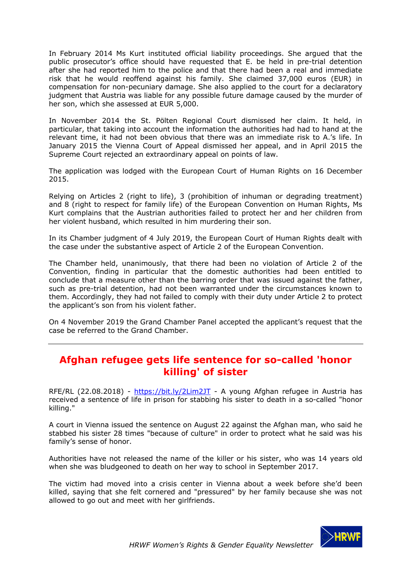In February 2014 Ms Kurt instituted official liability proceedings. She argued that the public prosecutor's office should have requested that E. be held in pre-trial detention after she had reported him to the police and that there had been a real and immediate risk that he would reoffend against his family. She claimed 37,000 euros (EUR) in compensation for non-pecuniary damage. She also applied to the court for a declaratory judgment that Austria was liable for any possible future damage caused by the murder of her son, which she assessed at EUR 5,000.

In November 2014 the St. Pölten Regional Court dismissed her claim. It held, in particular, that taking into account the information the authorities had had to hand at the relevant time, it had not been obvious that there was an immediate risk to A.'s life. In January 2015 the Vienna Court of Appeal dismissed her appeal, and in April 2015 the Supreme Court rejected an extraordinary appeal on points of law.

The application was lodged with the European Court of Human Rights on 16 December 2015.

Relying on Articles 2 (right to life), 3 (prohibition of inhuman or degrading treatment) and 8 (right to respect for family life) of the European Convention on Human Rights, Ms Kurt complains that the Austrian authorities failed to protect her and her children from her violent husband, which resulted in him murdering their son.

In its Chamber judgment of 4 July 2019, the European Court of Human Rights dealt with the case under the substantive aspect of Article 2 of the European Convention.

The Chamber held, unanimously, that there had been no violation of Article 2 of the Convention, finding in particular that the domestic authorities had been entitled to conclude that a measure other than the barring order that was issued against the father, such as pre-trial detention, had not been warranted under the circumstances known to them. Accordingly, they had not failed to comply with their duty under Article 2 to protect the applicant's son from his violent father.

On 4 November 2019 the Grand Chamber Panel accepted the applicant's request that the case be referred to the Grand Chamber.

## **Afghan refugee gets life sentence for so-called 'honor killing' of sister**

RFE/RL (22.08.2018) - https://bit.ly/2Lim2JT - A young Afghan refugee in Austria has received a sentence of life in prison for stabbing his sister to death in a so-called "honor killing."

A court in Vienna issued the sentence on August 22 against the Afghan man, who said he stabbed his sister 28 times "because of culture" in order to protect what he said was his family's sense of honor.

Authorities have not released the name of the killer or his sister, who was 14 years old when she was bludgeoned to death on her way to school in September 2017.

The victim had moved into a crisis center in Vienna about a week before she'd been killed, saying that she felt cornered and "pressured" by her family because she was not allowed to go out and meet with her girlfriends.